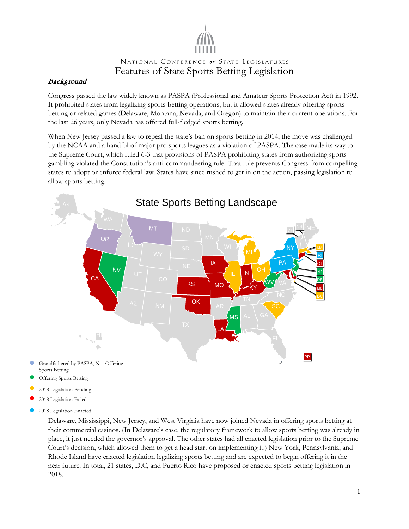## Background

Congress passed the law widely known as PASPA (Professional and Amateur Sports Protection Act) in 1992. It prohibited states from legalizing sports-betting operations, but it allowed states already offering sports betting or related games (Delaware, Montana, Nevada, and Oregon) to maintain their current operations. For the last 26 years, only Nevada has offered full-fledged sports betting.

When New Jersey passed a law to repeal the state's ban on sports betting in 2014, the move was challenged by the NCAA and a handful of major pro sports leagues as a violation of PASPA. The case made its way to the Supreme Court, which ruled 6-3 that provisions of PASPA prohibiting states from authorizing sports gambling violated the Constitution's anti-commandeering rule. That rule prevents Congress from compelling states to adopt or enforce federal law. States have since rushed to get in on the action, passing legislation to allow sports betting.



- Grandfathered by PASPA, Not Offering Sports Betting
- Offering Sports Betting
- 2018 Legislation Pending
- 2018 Legislation Failed
- 2018 Legislation Enacted

Delaware, Mississippi, New Jersey, and West Virginia have now joined Nevada in offering sports betting at their commercial casinos. (In Delaware's case, the regulatory framework to allow sports betting was already in place, it just needed the governor's approval. The other states had all enacted legislation prior to the Supreme Court's decision, which allowed them to get a head start on implementing it.) New York, Pennsylvania, and Rhode Island have enacted legislation legalizing sports betting and are expected to begin offering it in the near future. In total, 21 states, D.C, and Puerto Rico have proposed or enacted sports betting legislation in 2018.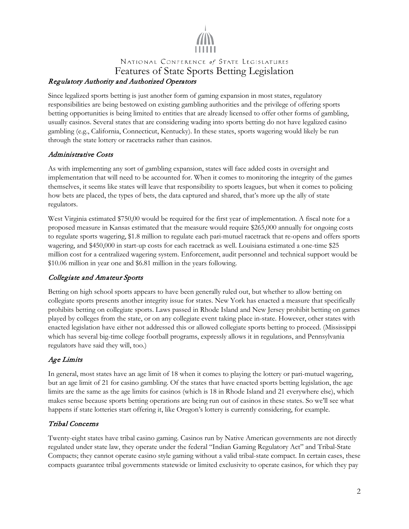

## NATIONAL CONFERENCE of STATE LEGISLATURES Features of State Sports Betting Legislation Regulatory Authority and Authorized Operators

Since legalized sports betting is just another form of gaming expansion in most states, regulatory responsibilities are being bestowed on existing gambling authorities and the privilege of offering sports betting opportunities is being limited to entities that are already licensed to offer other forms of gambling, usually casinos. Several states that are considering wading into sports betting do not have legalized casino gambling (e.g., California, Connecticut, Kentucky). In these states, sports wagering would likely be run through the state lottery or racetracks rather than casinos.

#### Administrative Costs

As with implementing any sort of gambling expansion, states will face added costs in oversight and implementation that will need to be accounted for. When it comes to monitoring the integrity of the games themselves, it seems like states will leave that responsibility to sports leagues, but when it comes to policing how bets are placed, the types of bets, the data captured and shared, that's more up the ally of state regulators.

West Virginia estimated \$750,00 would be required for the first year of implementation. A fiscal note for a proposed measure in Kansas estimated that the measure would require \$265,000 annually for ongoing costs to regulate sports wagering, \$1.8 million to regulate each pari-mutuel racetrack that re-opens and offers sports wagering, and \$450,000 in start-up costs for each racetrack as well. Louisiana estimated a one-time \$25 million cost for a centralized wagering system. Enforcement, audit personnel and technical support would be \$10.06 million in year one and \$6.81 million in the years following.

## Collegiate and Amateur Sports

Betting on high school sports appears to have been generally ruled out, but whether to allow betting on collegiate sports presents another integrity issue for states. New York has enacted a measure that specifically prohibits betting on collegiate sports. Laws passed in Rhode Island and New Jersey prohibit betting on games played by colleges from the state, or on any collegiate event taking place in-state. However, other states with enacted legislation have either not addressed this or allowed collegiate sports betting to proceed. (Mississippi which has several big-time college football programs, expressly allows it in regulations, and Pennsylvania regulators have said they will, too.)

## Age Limits

In general, most states have an age limit of 18 when it comes to playing the lottery or pari-mutuel wagering, but an age limit of 21 for casino gambling. Of the states that have enacted sports betting legislation, the age limits are the same as the age limits for casinos (which is 18 in Rhode Island and 21 everywhere else), which makes sense because sports betting operations are being run out of casinos in these states. So we'll see what happens if state lotteries start offering it, like Oregon's lottery is currently considering, for example.

#### Tribal Concerns

Twenty-eight states have tribal casino gaming. Casinos run by Native American governments are not directly regulated under state law, they operate under the federal "Indian Gaming Regulatory Act" and Tribal-State Compacts; they cannot operate casino style gaming without a valid tribal-state compact. In certain cases, these compacts guarantee tribal governments statewide or limited exclusivity to operate casinos, for which they pay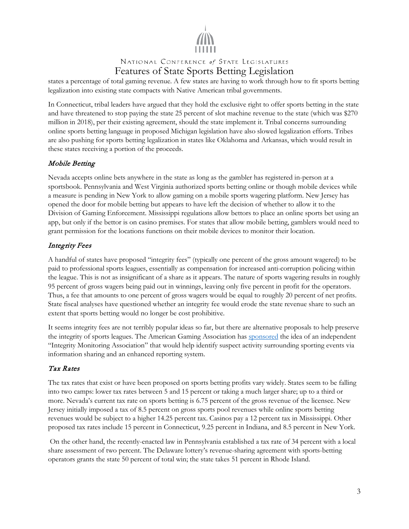

states a percentage of total gaming revenue. A few states are having to work through how to fit sports betting legalization into existing state compacts with Native American tribal governments.

In Connecticut, tribal leaders have argued that they hold the exclusive right to offer sports betting in the state and have threatened to stop paying the state 25 percent of slot machine revenue to the state (which was \$270 million in 2018), per their existing agreement, should the state implement it. Tribal concerns surrounding online sports betting language in proposed Michigan legislation have also slowed legalization efforts. Tribes are also pushing for sports betting legalization in states like Oklahoma and Arkansas, which would result in these states receiving a portion of the proceeds.

#### Mobile Betting

Nevada accepts online bets anywhere in the state as long as the gambler has registered in-person at a sportsbook. Pennsylvania and West Virginia authorized sports betting online or though mobile devices while a measure is pending in New York to allow gaming on a mobile sports wagering platform. New Jersey has opened the door for mobile betting but appears to have left the decision of whether to allow it to the Division of Gaming Enforcement. Mississippi regulations allow bettors to place an online sports bet using an app, but only if the bettor is on casino premises. For states that allow mobile betting, gamblers would need to grant permission for the locations functions on their mobile devices to monitor their location.

#### Integrity Fees

A handful of states have proposed "integrity fees" (typically one percent of the gross amount wagered) to be paid to professional sports leagues, essentially as compensation for increased anti-corruption policing within the league. This is not as insignificant of a share as it appears. The nature of sports wagering results in roughly 95 percent of gross wagers being paid out in winnings, leaving only five percent in profit for the operators. Thus, a fee that amounts to one percent of gross wagers would be equal to roughly 20 percent of net profits. State fiscal analyses have questioned whether an integrity fee would erode the state revenue share to such an extent that sports betting would no longer be cost prohibitive.

It seems integrity fees are not terribly popular ideas so far, but there are alternative proposals to help preserve the integrity of sports leagues. The American Gaming Association has [sponsored](https://www.americangaming.org/sites/default/files/AGA%20Sara%20Slane%20Congressional%20Testimony%20for%20Crime%20Subcommittee%20Hearing%20FINAL%209-25-18.pdf) the idea of an independent "Integrity Monitoring Association" that would help identify suspect activity surrounding sporting events via information sharing and an enhanced reporting system.

#### Tax Rates

The tax rates that exist or have been proposed on sports betting profits vary widely. States seem to be falling into two camps: lower tax rates between 5 and 15 percent or taking a much larger share; up to a third or more. Nevada's current tax rate on sports betting is 6.75 percent of the gross revenue of the licensee. New Jersey initially imposed a tax of 8.5 percent on gross sports pool revenues while online sports betting revenues would be subject to a higher 14.25 percent tax. Casinos pay a 12 percent tax in Mississippi. Other proposed tax rates include 15 percent in Connecticut, 9.25 percent in Indiana, and 8.5 percent in New York.

On the other hand, the recently-enacted law in Pennsylvania established a tax rate of 34 percent with a local share assessment of two percent. The Delaware lottery's revenue-sharing agreement with sports-betting operators grants the state 50 percent of total win; the state takes 51 percent in Rhode Island.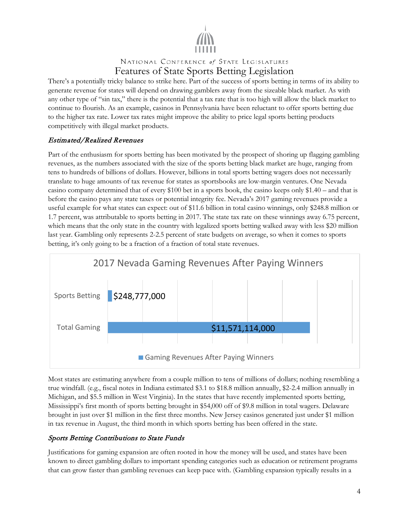

There's a potentially tricky balance to strike here. Part of the success of sports betting in terms of its ability to generate revenue for states will depend on drawing gamblers away from the sizeable black market. As with any other type of "sin tax," there is the potential that a tax rate that is too high will allow the black market to continue to flourish. As an example, casinos in Pennsylvania have been reluctant to offer sports betting due to the higher tax rate. Lower tax rates might improve the ability to price legal sports betting products competitively with illegal market products.

## Estimated/Realized Revenues

Part of the enthusiasm for sports betting has been motivated by the prospect of shoring up flagging gambling revenues, as the numbers associated with the size of the sports betting black market are huge, ranging from tens to hundreds of billions of dollars. However, billions in total sports betting wagers does not necessarily translate to huge amounts of tax revenue for states as sportsbooks are low-margin ventures. One Nevada casino company determined that of every \$100 bet in a sports book, the casino keeps only \$1.40 – and that is before the casino pays any state taxes or potential integrity fee. Nevada's 2017 gaming revenues provide a useful example for what states can expect: out of \$11.6 billion in total casino winnings, only \$248.8 million or 1.7 percent, was attributable to sports betting in 2017. The state tax rate on these winnings away 6.75 percent, which means that the only state in the country with legalized sports betting walked away with less \$20 million last year. Gambling only represents 2-2.5 percent of state budgets on average, so when it comes to sports betting, it's only going to be a fraction of a fraction of total state revenues.



Most states are estimating anywhere from a couple million to tens of millions of dollars; nothing resembling a true windfall. (e.g., fiscal notes in Indiana estimated \$3.1 to \$18.8 million annually, \$2-2.4 million annually in Michigan, and \$5.5 million in West Virginia). In the states that have recently implemented sports betting, Mississippi's first month of sports betting brought in \$54,000 off of \$9.8 million in total wagers. Delaware brought in just over \$1 million in the first three months. New Jersey casinos generated just under \$1 million in tax revenue in August, the third month in which sports betting has been offered in the state.

#### Sports Betting Contributions to State Funds

Justifications for gaming expansion are often rooted in how the money will be used, and states have been known to direct gambling dollars to important spending categories such as education or retirement programs that can grow faster than gambling revenues can keep pace with. (Gambling expansion typically results in a